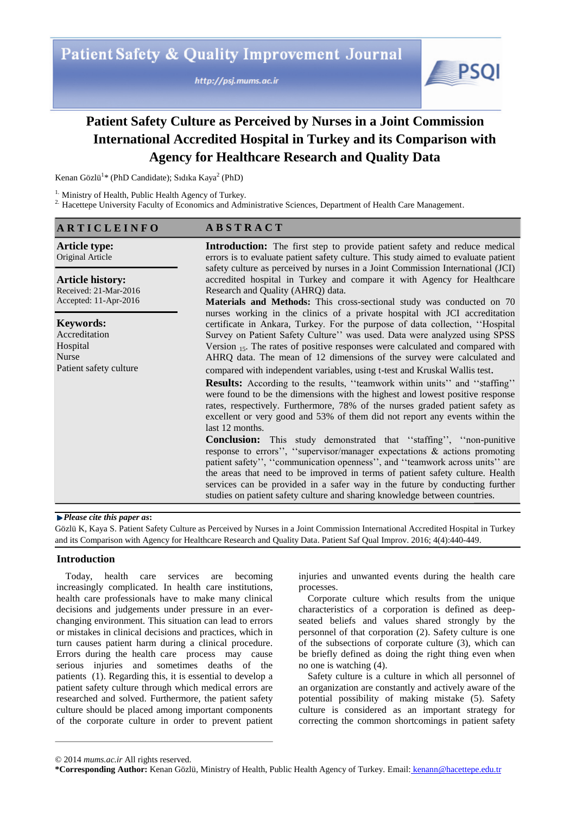http://psj.mums.ac.ir



# **Patient Safety Culture as Perceived by Nurses in a Joint Commission International Accredited Hospital in Turkey and its Comparison with Agency for Healthcare Research and Quality Data**

Kenan Gözlü<sup>1</sup>\* (PhD Candidate); Sıdıka Kaya<sup>2</sup> (PhD)

<sup>1.</sup> Ministry of Health, Public Health Agency of Turkey.

<sup>2.</sup> Hacettepe University Faculty of Economics and Administrative Sciences, Department of Health Care Management.

#### **A R T I C L E I N F O A B S T R A C T**

**Article type:**  Original Article **Article history:**  Received: 21-Mar-2016 Accepted: 11-Apr-2016 **Keywords:**  Accreditation **Hospital** Nurse Patient safety culture **Introduction:** The first step to provide patient safety and reduce medical errors is to evaluate patient safety culture. This study aimed to evaluate patient safety culture as perceived by nurses in a Joint Commission International (JCI) accredited hospital in Turkey and compare it with Agency for Healthcare Research and Quality (AHRQ) data. **Materials and Methods:** This cross-sectional study was conducted on 70 nurses working in the clinics of a private hospital with JCI accreditation certificate in Ankara, Turkey. For the purpose of data collection, ""Hospital Survey on Patient Safety Culture" was used. Data were analyzed using SPSS Version  $_{15}$ . The rates of positive responses were calculated and compared with AHRQ data. The mean of 12 dimensions of the survey were calculated and compared with independent variables, using t-test and Kruskal Wallis test. **Results:** According to the results, "teamwork within units" and "staffing" were found to be the dimensions with the highest and lowest positive response rates, respectively. Furthermore, 78% of the nurses graded patient safety as excellent or very good and 53% of them did not report any events within the last 12 months. **Conclusion:** This study demonstrated that "staffing", "non-punitive response to errors", "supervisor/manager expectations  $\&$  actions promoting patient safety", "communication openness", and "teamwork across units" are the areas that need to be improved in terms of patient safety culture. Health services can be provided in a safer way in the future by conducting further studies on patient safety culture and sharing knowledge between countries.

### *Please cite this paper as***:**

Gözlü K, Kaya S. Patient Safety Culture as Perceived by Nurses in a Joint Commission International Accredited Hospital in Turkey and its Comparison with Agency for Healthcare Research and Quality Data. Patient Saf Qual Improv. 2016; 4(4):440-449.

#### **Introduction**

Today, health care services are becoming increasingly complicated. In health care institutions, health care professionals have to make many clinical decisions and judgements under pressure in an everchanging environment. This situation can lead to errors or mistakes in clinical decisions and practices, which in turn causes patient harm during a clinical procedure. Errors during the health care process may cause serious injuries and sometimes deaths of the patients (1). Regarding this, it is essential to develop a patient safety culture through which medical errors are researched and solved. Furthermore, the patient safety culture should be placed among important components of the corporate culture in order to prevent patient

injuries and unwanted events during the health care processes.

Corporate culture which results from the unique characteristics of a corporation is defined as deepseated beliefs and values shared strongly by the personnel of that corporation (2). Safety culture is one of the subsections of corporate culture (3), which can be briefly defined as doing the right thing even when no one is watching (4).

Safety culture is a culture in which all personnel of an organization are constantly and actively aware of the potential possibility of making mistake (5). Safety culture is considered as an important strategy for correcting the common shortcomings in patient safety

<sup>© 2014</sup> *mums.ac.ir* All rights reserved.

**<sup>\*</sup>Corresponding Author:** Kenan Gözlü, Ministry of Health, Public Health Agency of Turkey. Email: kenann@hacettepe.edu.tr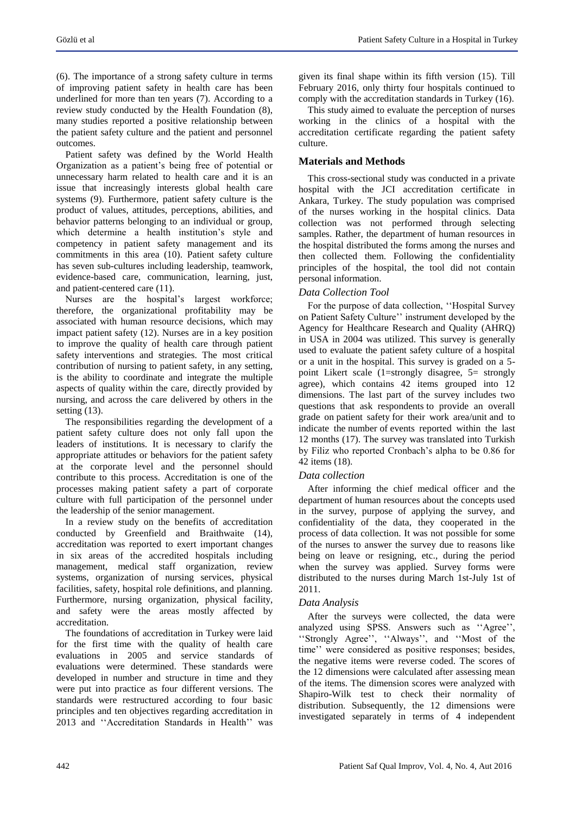(6). The importance of a strong safety culture in terms of improving patient safety in health care has been underlined for more than ten years (7). According to a review study conducted by the Health Foundation (8), many studies reported a positive relationship between the patient safety culture and the patient and personnel outcomes.

Patient safety was defined by the World Health Organization as a patient"s being free of potential or unnecessary harm related to health care and it is an issue that increasingly interests global health care systems (9). Furthermore, patient safety culture is the product of values, attitudes, perceptions, abilities, and behavior patterns belonging to an individual or group, which determine a health institution's style and competency in patient safety management and its commitments in this area (10). Patient safety culture has seven sub-cultures including leadership, teamwork, evidence-based care, communication, learning, just, and patient-centered care (11).

Nurses are the hospital's largest workforce; therefore, the organizational profitability may be associated with human resource decisions, which may impact patient safety (12). Nurses are in a key position to improve the quality of health care through patient safety interventions and strategies. The most critical contribution of nursing to patient safety, in any setting, is the ability to coordinate and integrate the multiple aspects of quality within the care, directly provided by nursing, and across the care delivered by others in the setting  $(13)$ .

The responsibilities regarding the development of a patient safety culture does not only fall upon the leaders of institutions. It is necessary to clarify the appropriate attitudes or behaviors for the patient safety at the corporate level and the personnel should contribute to this process. Accreditation is one of the processes making patient safety a part of corporate culture with full participation of the personnel under the leadership of the senior management.

In a review study on the benefits of accreditation conducted by Greenfield and Braithwaite (14), accreditation was reported to exert important changes in six areas of the accredited hospitals including management, medical staff organization, review systems, organization of nursing services, physical facilities, safety, hospital role definitions, and planning. Furthermore, nursing organization, physical facility, and safety were the areas mostly affected by accreditation.

The foundations of accreditation in Turkey were laid for the first time with the quality of health care evaluations in 2005 and service standards of evaluations were determined. These standards were developed in number and structure in time and they were put into practice as four different versions. The standards were restructured according to four basic principles and ten objectives regarding accreditation in 2013 and "Accreditation Standards in Health" was

given its final shape within its fifth version (15). Till February 2016, only thirty four hospitals continued to comply with the accreditation standards in Turkey (16).

This study aimed to evaluate the perception of nurses working in the clinics of a hospital with the accreditation certificate regarding the patient safety culture.

# **Materials and Methods**

This cross-sectional study was conducted in a private hospital with the JCI accreditation certificate in Ankara, Turkey. The study population was comprised of the nurses working in the hospital clinics. Data collection was not performed through selecting samples. Rather, the department of human resources in the hospital distributed the forms among the nurses and then collected them. Following the confidentiality principles of the hospital, the tool did not contain personal information.

#### *Data Collection Tool*

For the purpose of data collection, "Hospital Survey" on Patient Safety Culture" instrument developed by the Agency for Healthcare Research and Quality (AHRQ) in USA in 2004 was utilized. This survey is generally used to evaluate the patient safety culture of a hospital or a unit in the hospital. This survey is graded on a 5 point Likert scale (1=strongly disagree, 5= strongly agree), which contains 42 items grouped into 12 dimensions. The last part of the survey includes two questions that ask respondents to provide an overall grade on patient safety for their work area/unit and to indicate the number of events reported within the last 12 months (17). The survey was translated into Turkish by Filiz who reported Cronbach"s alpha to be 0.86 for 42 items (18).

#### *Data collection*

After informing the chief medical officer and the department of human resources about the concepts used in the survey, purpose of applying the survey, and confidentiality of the data, they cooperated in the process of data collection. It was not possible for some of the nurses to answer the survey due to reasons like being on leave or resigning, etc., during the period when the survey was applied. Survey forms were distributed to the nurses during March 1st-July 1st of 2011.

#### *Data Analysis*

After the surveys were collected, the data were analyzed using SPSS. Answers such as "Agree", "Strongly Agree", "Always", and "Most of the time" were considered as positive responses; besides, the negative items were reverse coded. The scores of the 12 dimensions were calculated after assessing mean of the items. The dimension scores were analyzed with Shapiro-Wilk test to check their normality of distribution. Subsequently, the 12 dimensions were investigated separately in terms of 4 independent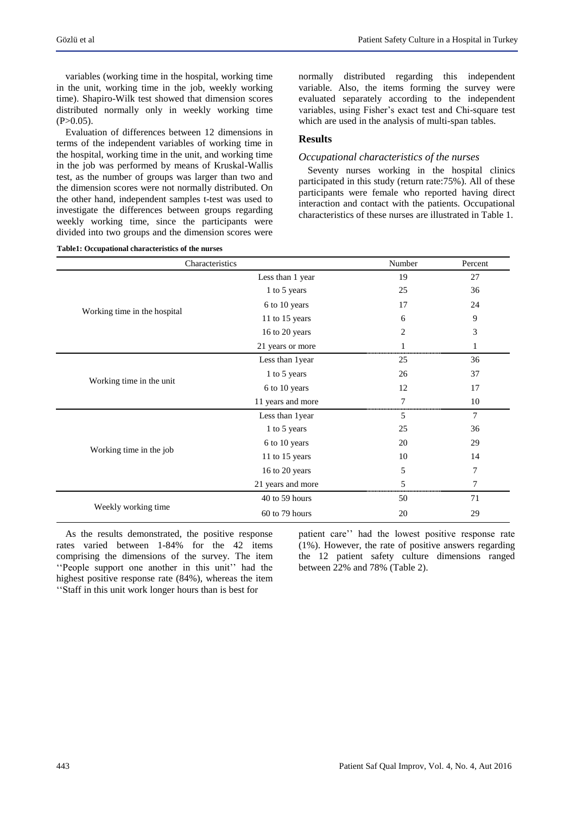variables (working time in the hospital, working time in the unit, working time in the job, weekly working time). Shapiro-Wilk test showed that dimension scores distributed normally only in weekly working time  $(P>0.05)$ .

Evaluation of differences between 12 dimensions in terms of the independent variables of working time in the hospital, working time in the unit, and working time in the job was performed by means of Kruskal-Wallis test, as the number of groups was larger than two and the dimension scores were not normally distributed. On the other hand, independent samples t-test was used to investigate the differences between groups regarding weekly working time, since the participants were divided into two groups and the dimension scores were

**Table1: Occupational characteristics of the nurses**

normally distributed regarding this independent variable. Also, the items forming the survey were evaluated separately according to the independent variables, using Fisher"s exact test and Chi-square test which are used in the analysis of multi-span tables.

#### **Results**

#### *Occupational characteristics of the nurses*

Seventy nurses working in the hospital clinics participated in this study (return rate:75%). All of these participants were female who reported having direct interaction and contact with the patients. Occupational characteristics of these nurses are illustrated in Table 1.

| Characteristics              |                   | Number | Percent |
|------------------------------|-------------------|--------|---------|
|                              | Less than 1 year  | 19     | 27      |
|                              | 1 to 5 years      | 25     | 36      |
| Working time in the hospital | 6 to 10 years     | 17     | 24      |
|                              | 11 to 15 years    | 6      | 9       |
|                              | 16 to 20 years    | 2      | 3       |
|                              | 21 years or more  |        | 1       |
|                              | Less than 1year   | 25     | 36      |
|                              | 1 to 5 years      | 26     | 37      |
| Working time in the unit     | 6 to 10 years     | 12     | 17      |
|                              | 11 years and more | 7      | 10      |
|                              | Less than 1year   | 5      | 7       |
|                              | 1 to 5 years      | 25     | 36      |
|                              | 6 to 10 years     | 20     | 29      |
| Working time in the job      | 11 to 15 years    | 10     | 14      |
|                              | 16 to 20 years    | 5      | 7       |
|                              | 21 years and more | 5      | 7       |
|                              | 40 to 59 hours    | 50     | 71      |
| Weekly working time          | 60 to 79 hours    | 20     | 29      |

As the results demonstrated, the positive response rates varied between 1-84% for the 42 items comprising the dimensions of the survey. The item "People support one another in this unit" had the highest positive response rate (84%), whereas the item ""Staff in this unit work longer hours than is best for

patient care" had the lowest positive response rate (1%). However, the rate of positive answers regarding the 12 patient safety culture dimensions ranged between 22% and 78% (Table 2).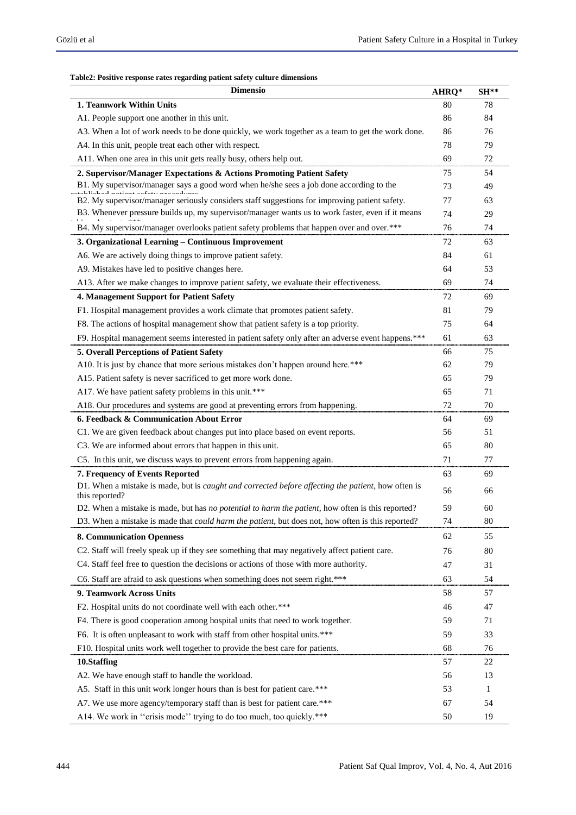#### **Table2: Positive response rates regarding patient safety culture dimensions**

| <b>Dimensio</b>                                                                                                              |    | $SH**$ |
|------------------------------------------------------------------------------------------------------------------------------|----|--------|
| 1. Teamwork Within Units                                                                                                     |    | 78     |
| A1. People support one another in this unit.                                                                                 |    | 84     |
| A3. When a lot of work needs to be done quickly, we work together as a team to get the work done.                            | 86 | 76     |
| A4. In this unit, people treat each other with respect.                                                                      | 78 | 79     |
| A11. When one area in this unit gets really busy, others help out.                                                           | 69 | 72     |
| 2. Supervisor/Manager Expectations & Actions Promoting Patient Safety                                                        |    | 54     |
| B1. My supervisor/manager says a good word when he/she sees a job done according to the                                      | 73 | 49     |
| B2. My supervisor/manager seriously considers staff suggestions for improving patient safety.                                | 77 | 63     |
| B3. Whenever pressure builds up, my supervisor/manager wants us to work faster, even if it means                             | 74 | 29     |
| B4. My supervisor/manager overlooks patient safety problems that happen over and over.***                                    | 76 | 74     |
| 3. Organizational Learning - Continuous Improvement                                                                          |    | 63     |
| A6. We are actively doing things to improve patient safety.                                                                  | 84 | 61     |
| A9. Mistakes have led to positive changes here.                                                                              | 64 | 53     |
| A13. After we make changes to improve patient safety, we evaluate their effectiveness.                                       | 69 | 74     |
| 4. Management Support for Patient Safety                                                                                     | 72 | 69     |
| F1. Hospital management provides a work climate that promotes patient safety.                                                | 81 | 79     |
| F8. The actions of hospital management show that patient safety is a top priority.                                           | 75 | 64     |
| F9. Hospital management seems interested in patient safety only after an adverse event happens.***                           | 61 | 63     |
| 5. Overall Perceptions of Patient Safety                                                                                     | 66 | 75     |
| A10. It is just by chance that more serious mistakes don't happen around here.***                                            | 62 | 79     |
| A15. Patient safety is never sacrificed to get more work done.                                                               | 65 | 79     |
| A17. We have patient safety problems in this unit.***                                                                        | 65 | 71     |
| A18. Our procedures and systems are good at preventing errors from happening.                                                | 72 | 70     |
| 6. Feedback & Communication About Error                                                                                      | 64 | 69     |
| C1. We are given feedback about changes put into place based on event reports.                                               | 56 | 51     |
| C3. We are informed about errors that happen in this unit.                                                                   | 65 | 80     |
| C5. In this unit, we discuss ways to prevent errors from happening again.                                                    | 71 | 77     |
| 7. Frequency of Events Reported                                                                                              | 63 | 69     |
| D1. When a mistake is made, but is <i>caught and corrected before affecting the patient</i> , how often is<br>this reported? | 56 | 66     |
| D2. When a mistake is made, but has no potential to harm the patient, how often is this reported?                            | 59 | 60     |
| D3. When a mistake is made that could harm the patient, but does not, how often is this reported?                            | 74 | 80     |
| <b>8. Communication Openness</b>                                                                                             | 62 | 55     |
| C2. Staff will freely speak up if they see something that may negatively affect patient care.                                | 76 | 80     |
| C4. Staff feel free to question the decisions or actions of those with more authority.                                       | 47 | 31     |
| C6. Staff are afraid to ask questions when something does not seem right.***                                                 | 63 | 54     |
| 9. Teamwork Across Units                                                                                                     | 58 | 57     |
| F2. Hospital units do not coordinate well with each other.***                                                                | 46 | 47     |
| F4. There is good cooperation among hospital units that need to work together.                                               | 59 | 71     |
| F6. It is often unpleasant to work with staff from other hospital units.***                                                  | 59 | 33     |
| F10. Hospital units work well together to provide the best care for patients.                                                | 68 | 76     |
| 10.Staffing                                                                                                                  |    | 22     |
| A2. We have enough staff to handle the workload.                                                                             | 56 | 13     |
| A5. Staff in this unit work longer hours than is best for patient care.***                                                   | 53 | 1      |
| A7. We use more agency/temporary staff than is best for patient care.***                                                     | 67 | 54     |
| A14. We work in "crisis mode" trying to do too much, too quickly.***                                                         | 50 | 19     |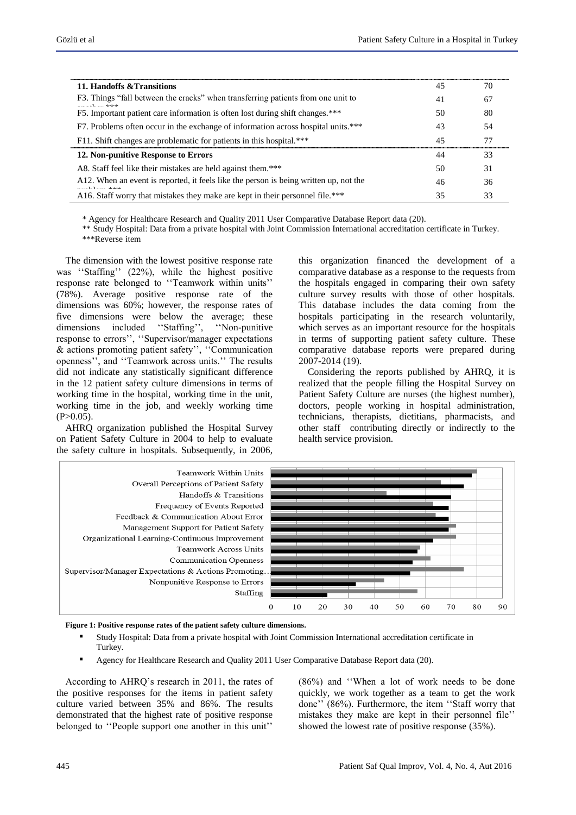| 11. Handoffs & Transitions                                                                                      |    | 70 |
|-----------------------------------------------------------------------------------------------------------------|----|----|
| F3. Things "fall between the cracks" when transferring patients from one unit to<br>also also also<br>$\cdot$ 1 | 41 | 67 |
| F5. Important patient care information is often lost during shift changes.***                                   |    | 80 |
| F7. Problems often occur in the exchange of information across hospital units.***                               | 43 | 54 |
| F11. Shift changes are problematic for patients in this hospital.***                                            | 45 |    |
| 12. Non-punitive Response to Errors                                                                             | 44 | 33 |
| A8. Staff feel like their mistakes are held against them.***                                                    | 50 | 31 |
| A12. When an event is reported, it feels like the person is being written up, not the<br>ata ata ata            |    | 36 |
| A16. Staff worry that mistakes they make are kept in their personnel file.***                                   | 35 | 33 |

\* Agency for Healthcare Research and Quality 2011 User Comparative Database Report data (20).

\*\* Study Hospital: Data from a private hospital with Joint Commission International accreditation certificate in Turkey. \*\*\*Reverse item

The dimension with the lowest positive response rate was "Staffing" (22%), while the highest positive response rate belonged to "Teamwork within units" (78%). Average positive response rate of the dimensions was 60%; however, the response rates of five dimensions were below the average; these dimensions included "Staffing", "Non-punitive response to errors", "Supervisor/manager expectations  $&$  actions promoting patient safety", "Communication openness", and "Teamwork across units." The results did not indicate any statistically significant difference in the 12 patient safety culture dimensions in terms of working time in the hospital, working time in the unit, working time in the job, and weekly working time  $(P>0.05)$ .

AHRQ organization published the Hospital Survey on Patient Safety Culture in 2004 to help to evaluate the safety culture in hospitals. Subsequently, in 2006,

this organization financed the development of a comparative database as a response to the requests from the hospitals engaged in comparing their own safety culture survey results with those of other hospitals. This database includes the data coming from the hospitals participating in the research voluntarily, which serves as an important resource for the hospitals in terms of supporting patient safety culture. These comparative database reports were prepared during 2007-2014 (19).

Considering the reports published by AHRQ, it is realized that the people filling the Hospital Survey on Patient Safety Culture are nurses (the highest number), doctors, people working in hospital administration, technicians, therapists, dietitians, pharmacists, and other staff contributing directly or indirectly to the health service provision.



**Figure 1: Positive response rates of the patient safety culture dimensions.**

- Study Hospital: Data from a private hospital with Joint Commission International accreditation certificate in Turkey.
- Agency for Healthcare Research and Quality 2011 User Comparative Database Report data (20).

According to AHRQ"s research in 2011, the rates of the positive responses for the items in patient safety culture varied between 35% and 86%. The results demonstrated that the highest rate of positive response belonged to "People support one another in this unit"

(86%) and ""When a lot of work needs to be done quickly, we work together as a team to get the work done" (86%). Furthermore, the item "Staff worry that mistakes they make are kept in their personnel file" showed the lowest rate of positive response (35%).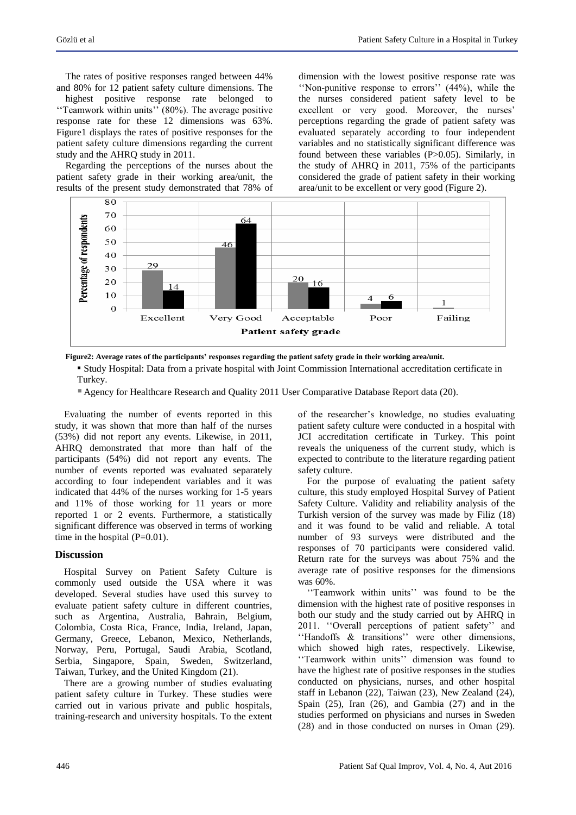The rates of positive responses ranged between 44% and 80% for 12 patient safety culture dimensions. The

highest positive response rate belonged to "Teamwork within units" (80%). The average positive response rate for these 12 dimensions was 63%. Figure1 displays the rates of positive responses for the patient safety culture dimensions regarding the current study and the AHRQ study in 2011.

Regarding the perceptions of the nurses about the patient safety grade in their working area/unit, the results of the present study demonstrated that 78% of dimension with the lowest positive response rate was "Non-punitive response to errors" (44%), while the the nurses considered patient safety level to be excellent or very good. Moreover, the nurses' perceptions regarding the grade of patient safety was evaluated separately according to four independent variables and no statistically significant difference was found between these variables (P>0.05). Similarly, in the study of AHRQ in 2011, 75% of the participants considered the grade of patient safety in their working area/unit to be excellent or very good (Figure 2).



**Figure2: Average rates of the participants' responses regarding the patient safety grade in their working area/unit.**

▪ Study Hospital: Data from a private hospital with Joint Commission International accreditation certificate in Turkey.

Agency for Healthcare Research and Quality 2011 User Comparative Database Report data (20).

Evaluating the number of events reported in this study, it was shown that more than half of the nurses (53%) did not report any events. Likewise, in 2011, AHRQ demonstrated that more than half of the participants (54%) did not report any events. The number of events reported was evaluated separately according to four independent variables and it was indicated that 44% of the nurses working for 1-5 years and 11% of those working for 11 years or more reported 1 or 2 events. Furthermore, a statistically significant difference was observed in terms of working time in the hospital  $(P=0.01)$ .

#### **Discussion**

Hospital Survey on Patient Safety Culture is commonly used outside the USA where it was developed. Several studies have used this survey to evaluate patient safety culture in different countries, such as Argentina, Australia, Bahrain, Belgium, Colombia, Costa Rica, France, India, Ireland, Japan, Germany, Greece, Lebanon, Mexico, Netherlands, Norway, Peru, Portugal, Saudi Arabia, Scotland, Serbia, Singapore, Spain, Sweden, Switzerland, Taiwan, Turkey, and the United Kingdom (21).

There are a growing number of studies evaluating patient safety culture in Turkey. These studies were carried out in various private and public hospitals, training-research and university hospitals. To the extent of the researcher"s knowledge, no studies evaluating patient safety culture were conducted in a hospital with JCI accreditation certificate in Turkey. This point reveals the uniqueness of the current study, which is expected to contribute to the literature regarding patient safety culture.

For the purpose of evaluating the patient safety culture, this study employed Hospital Survey of Patient Safety Culture. Validity and reliability analysis of the Turkish version of the survey was made by Filiz (18) and it was found to be valid and reliable. A total number of 93 surveys were distributed and the responses of 70 participants were considered valid. Return rate for the surveys was about 75% and the average rate of positive responses for the dimensions was 60%.

'Teamwork within units'' was found to be the dimension with the highest rate of positive responses in both our study and the study carried out by AHRQ in 2011. "Overall perceptions of patient safety" and "Handoffs & transitions" were other dimensions, which showed high rates, respectively. Likewise, "Teamwork within units" dimension was found to have the highest rate of positive responses in the studies conducted on physicians, nurses, and other hospital staff in Lebanon (22), Taiwan (23), New Zealand (24), Spain (25), Iran (26), and Gambia (27) and in the studies performed on physicians and nurses in Sweden (28) and in those conducted on nurses in Oman (29).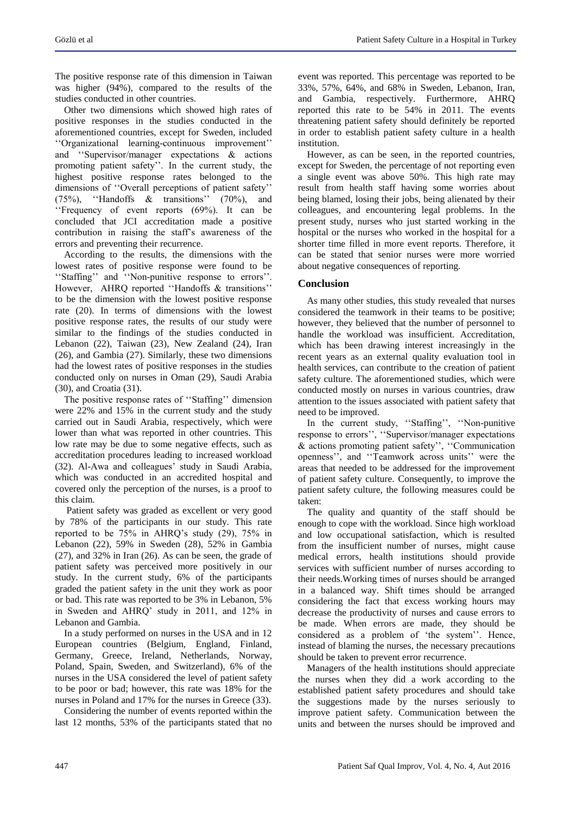The positive response rate of this dimension in Taiwan was higher (94%), compared to the results of the studies conducted in other countries.

Other two dimensions which showed high rates of positive responses in the studies conducted in the aforementioned countries, except for Sweden, included "Organizational learning-continuous improvement" and ""Supervisor/manager expectations & actions promoting patient safety". In the current study, the highest positive response rates belonged to the dimensions of "Overall perceptions of patient safety" (75%), "Handoffs  $\&$  transitions" (70%), and "Frequency of event reports  $(69\%)$ . It can be concluded that JCI accreditation made a positive contribution in raising the staff"s awareness of the errors and preventing their recurrence.

According to the results, the dimensions with the lowest rates of positive response were found to be "Staffing" and "Non-punitive response to errors". However, AHRQ reported "Handoffs & transitions" to be the dimension with the lowest positive response rate (20). In terms of dimensions with the lowest positive response rates, the results of our study were similar to the findings of the studies conducted in Lebanon (22), Taiwan (23), New Zealand (24), Iran (26), and Gambia (27). Similarly, these two dimensions had the lowest rates of positive responses in the studies conducted only on nurses in Oman (29), Saudi Arabia (30), and Croatia (31).

The positive response rates of "Staffing" dimension were 22% and 15% in the current study and the study carried out in Saudi Arabia, respectively, which were lower than what was reported in other countries. This low rate may be due to some negative effects, such as accreditation procedures leading to increased workload (32). Al-Awa and colleagues" study in Saudi Arabia, which was conducted in an accredited hospital and covered only the perception of the nurses, is a proof to this claim.

Patient safety was graded as excellent or very good by 78% of the participants in our study. This rate reported to be 75% in AHRQ"s study (29), 75% in Lebanon (22), 59% in Sweden (28), 52% in Gambia (27), and 32% in Iran (26). As can be seen, the grade of patient safety was perceived more positively in our study. In the current study, 6% of the participants graded the patient safety in the unit they work as poor or bad. This rate was reported to be 3% in Lebanon, 5% in Sweden and AHRQ" study in 2011, and 12% in Lebanon and Gambia.

In a study performed on nurses in the USA and in 12 European countries (Belgium, England, Finland, Germany, Greece, Ireland, Netherlands, Norway, Poland, Spain, Sweden, and Switzerland), 6% of the nurses in the USA considered the level of patient safety to be poor or bad; however, this rate was 18% for the nurses in Poland and 17% for the nurses in Greece (33).

Considering the number of events reported within the last 12 months, 53% of the participants stated that no event was reported. This percentage was reported to be 33%, 57%, 64%, and 68% in Sweden, Lebanon, Iran, and Gambia, respectively. Furthermore, AHRQ reported this rate to be 54% in 2011. The events threatening patient safety should definitely be reported in order to establish patient safety culture in a health institution.

However, as can be seen, in the reported countries, except for Sweden, the percentage of not reporting even a single event was above 50%. This high rate may result from health staff having some worries about being blamed, losing their jobs, being alienated by their colleagues, and encountering legal problems. In the present study, nurses who just started working in the hospital or the nurses who worked in the hospital for a shorter time filled in more event reports. Therefore, it can be stated that senior nurses were more worried about negative consequences of reporting.

#### **Conclusion**

As many other studies, this study revealed that nurses considered the teamwork in their teams to be positive; however, they believed that the number of personnel to handle the workload was insufficient. Accreditation, which has been drawing interest increasingly in the recent years as an external quality evaluation tool in health services, can contribute to the creation of patient safety culture. The aforementioned studies, which were conducted mostly on nurses in various countries, draw attention to the issues associated with patient safety that need to be improved.

In the current study, "Staffing", "Non-punitive response to errors", "Supervisor/manager expectations & actions promoting patient safety", "Communication openness", and "Teamwork across units" were the areas that needed to be addressed for the improvement of patient safety culture. Consequently, to improve the patient safety culture, the following measures could be taken:

The quality and quantity of the staff should be enough to cope with the workload. Since high workload and low occupational satisfaction, which is resulted from the insufficient number of nurses, might cause medical errors, health institutions should provide services with sufficient number of nurses according to their needs.Working times of nurses should be arranged in a balanced way. Shift times should be arranged considering the fact that excess working hours may decrease the productivity of nurses and cause errors to be made. When errors are made, they should be considered as a problem of 'the system''. Hence, instead of blaming the nurses, the necessary precautions should be taken to prevent error recurrence.

Managers of the health institutions should appreciate the nurses when they did a work according to the established patient safety procedures and should take the suggestions made by the nurses seriously to improve patient safety. Communication between the units and between the nurses should be improved and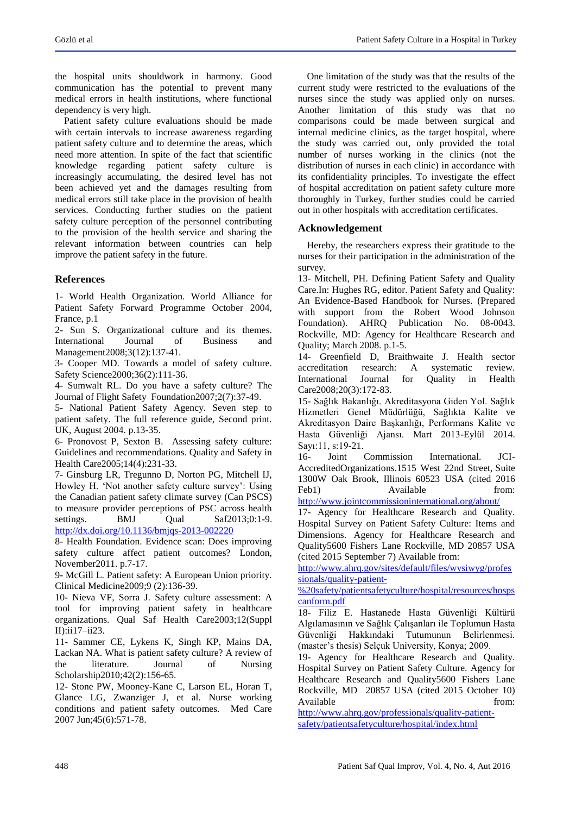the hospital units shouldwork in harmony. Good communication has the potential to prevent many medical errors in health institutions, where functional dependency is very high.

Patient safety culture evaluations should be made with certain intervals to increase awareness regarding patient safety culture and to determine the areas, which need more attention. In spite of the fact that scientific knowledge regarding patient safety culture is increasingly accumulating, the desired level has not been achieved yet and the damages resulting from medical errors still take place in the provision of health services. Conducting further studies on the patient safety culture perception of the personnel contributing to the provision of the health service and sharing the relevant information between countries can help improve the patient safety in the future.

## **References**

1- World Health Organization. World Alliance for Patient Safety Forward Programme October 2004, France, p.1

2- Sun S. Organizational culture and its themes. International Journal of Business and Management2008;3(12):137-41.

3- Cooper MD. Towards a model of safety culture. Safety Science2000;36(2):111-36.

4- Sumwalt RL. Do you have a safety culture? The Journal of Flight Safety Foundation2007;2(7):37-49.

5- National Patient Safety Agency. Seven step to patient safety. The full reference guide, Second print. UK, August 2004. p.13-35.

6- Pronovost P, Sexton B. Assessing safety culture: Guidelines and recommendations. Quality and Safety in Health Care2005;14(4):231-33.

7- Ginsburg LR, Tregunno D, Norton PG, Mitchell IJ, Howley H. 'Not another safety culture survey': Using the Canadian patient safety climate survey (Can PSCS) to measure provider perceptions of PSC across health settings. BMJ Qual Saf2013;0:1-9. <http://dx.doi.org/10.1136/bmjqs-2013-002220>

8- Health Foundation. Evidence scan: Does improving safety culture affect patient outcomes? London, November2011. p.7-17.

9- McGill L. Patient safety: A European Union priority. Clinical Medicine2009;9 (2):136-39.

10- Nieva VF, Sorra J. Safety culture assessment: A tool for improving patient safety in healthcare organizations. Qual Saf Health Care2003;12(Suppl II):ii17–ii23.

11- Sammer CE, Lykens K, Singh KP, Mains DA, Lackan NA. What is patient safety culture? A review of the literature. Journal of Nursing Scholarship2010;42(2):156-65.

12- Stone PW, Mooney-Kane C, Larson EL, Horan T, Glance LG, Zwanziger J, et al. Nurse working conditions and patient safety outcomes. Med Care 2007 Jun;45(6):571-78.

One limitation of the study was that the results of the current study were restricted to the evaluations of the nurses since the study was applied only on nurses. Another limitation of this study was that no comparisons could be made between surgical and internal medicine clinics, as the target hospital, where the study was carried out, only provided the total number of nurses working in the clinics (not the distribution of nurses in each clinic) in accordance with its confidentiality principles. To investigate the effect of hospital accreditation on patient safety culture more thoroughly in Turkey, further studies could be carried out in other hospitals with accreditation certificates.

#### **Acknowledgement**

Hereby, the researchers express their gratitude to the nurses for their participation in the administration of the survey.

13- Mitchell, PH. Defining Patient Safety and Quality Care.In: Hughes RG, editor. Patient Safety and Quality: An Evidence-Based Handbook for Nurses. (Prepared with support from the Robert Wood Johnson Foundation). AHRQ Publication No. 08-0043. Rockville, MD: Agency for Healthcare Research and Quality; March 2008. p.1-5.

14- Greenfield D, Braithwaite J. Health sector accreditation research: A systematic review. accreditation research: A systematic review. International Journal for Quality in Health Care2008;20(3):172-83.

15- Sağlık Bakanlığı. Akreditasyona Giden Yol. Sağlık Hizmetleri Genel Müdürlüğü, Sağlıkta Kalite ve Akreditasyon Daire Başkanlığı, Performans Kalite ve Hasta Güvenliği Ajansı. Mart 2013-Eylül 2014. Sayı:11, s:19-21.

16- Joint Commission International. JCI-AccreditedOrganizations.1515 West 22nd Street, Suite 1300W Oak Brook, Illinois 60523 USA (cited 2016 Feb1) Available from:

<http://www.jointcommissioninternational.org/about/>

17- Agency for Healthcare Research and Quality. Hospital Survey on Patient Safety Culture: Items and Dimensions. Agency for Healthcare Research and Quality5600 Fishers Lane Rockville, MD 20857 USA (cited 2015 September 7) Available from:

[http://www.ahrq.gov/sites/default/files/wysiwyg/profes](http://www.ahrq.gov/sites/default/files/wysiwyg/professionals/quality-patient-%20safety/patientsafetyculture/hospital/resources/hospscanform.pdf) [sionals/quality-patient-](http://www.ahrq.gov/sites/default/files/wysiwyg/professionals/quality-patient-%20safety/patientsafetyculture/hospital/resources/hospscanform.pdf)

[%20safety/patientsafetyculture/hospital/resources/hosps](http://www.ahrq.gov/sites/default/files/wysiwyg/professionals/quality-patient-%20safety/patientsafetyculture/hospital/resources/hospscanform.pdf) [canform.pdf](http://www.ahrq.gov/sites/default/files/wysiwyg/professionals/quality-patient-%20safety/patientsafetyculture/hospital/resources/hospscanform.pdf)

18- Filiz E. Hastanede Hasta Güvenliği Kültürü Algılamasının ve Sağlık Çalışanları ile Toplumun Hasta Güvenliği Hakkındaki Tutumunun Belirlenmesi. (master"s thesis) Selçuk University, Konya; 2009.

19- Agency for Healthcare Research and Quality. Hospital Survey on Patient Safety Culture. Agency for Healthcare Research and Quality5600 Fishers Lane Rockville, MD 20857 USA (cited 2015 October 10) Available from:

[http://www.ahrq.gov/professionals/quality-patient](http://www.ahrq.gov/professionals/quality-patient-safety/patientsafetyculture/hospital/index.html)[safety/patientsafetyculture/hospital/index.html](http://www.ahrq.gov/professionals/quality-patient-safety/patientsafetyculture/hospital/index.html)